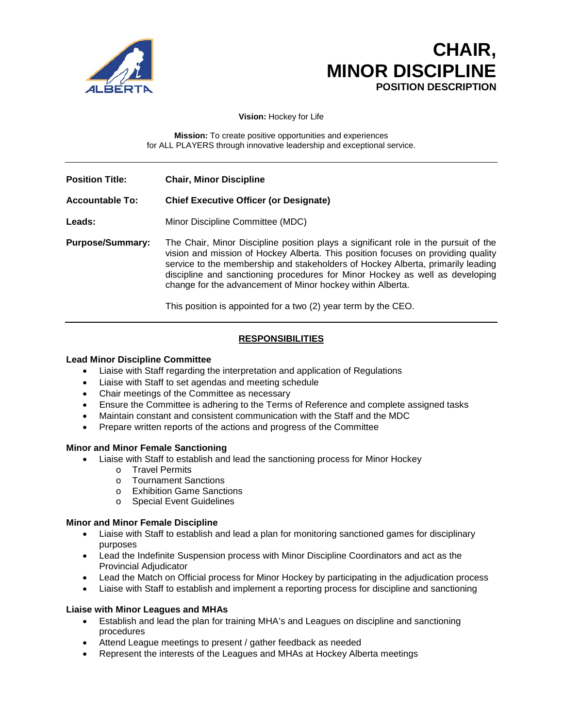

# **CHAIR, MINOR DISCIPLINE POSITION DESCRIPTION**

**Vision:** Hockey for Life

**Mission:** To create positive opportunities and experiences for ALL PLAYERS through innovative leadership and exceptional service.

**Position Title: Chair, Minor Discipline**

### **Accountable To: Chief Executive Officer (or Designate)**

- Leads: Minor Discipline Committee (MDC)
- **Purpose/Summary:** The Chair, Minor Discipline position plays a significant role in the pursuit of the vision and mission of Hockey Alberta. This position focuses on providing quality service to the membership and stakeholders of Hockey Alberta, primarily leading discipline and sanctioning procedures for Minor Hockey as well as developing change for the advancement of Minor hockey within Alberta.

This position is appointed for a two (2) year term by the CEO.

## **RESPONSIBILITIES**

### **Lead Minor Discipline Committee**

- Liaise with Staff regarding the interpretation and application of Regulations
- Liaise with Staff to set agendas and meeting schedule
- Chair meetings of the Committee as necessary
- Ensure the Committee is adhering to the Terms of Reference and complete assigned tasks
- Maintain constant and consistent communication with the Staff and the MDC
- Prepare written reports of the actions and progress of the Committee

### **Minor and Minor Female Sanctioning**

- Liaise with Staff to establish and lead the sanctioning process for Minor Hockey
	- o Travel Permits<br>
	o Tournament Sa
	- **Tournament Sanctions**
	- o Exhibition Game Sanctions
	- o Special Event Guidelines

### **Minor and Minor Female Discipline**

- Liaise with Staff to establish and lead a plan for monitoring sanctioned games for disciplinary purposes
- Lead the Indefinite Suspension process with Minor Discipline Coordinators and act as the Provincial Adjudicator
- Lead the Match on Official process for Minor Hockey by participating in the adjudication process
- Liaise with Staff to establish and implement a reporting process for discipline and sanctioning

### **Liaise with Minor Leagues and MHAs**

- Establish and lead the plan for training MHA's and Leagues on discipline and sanctioning procedures
- Attend League meetings to present / gather feedback as needed
- Represent the interests of the Leagues and MHAs at Hockey Alberta meetings